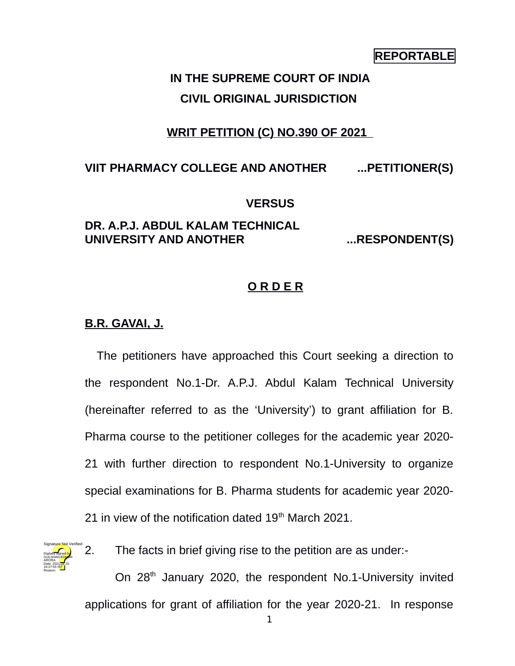## **REPORTABLE**

# **IN THE SUPREME COURT OF INDIA CIVIL ORIGINAL JURISDICTION**

## **WRIT PETITION (C) NO.390 OF 2021**

## **VIIT PHARMACY COLLEGE AND ANOTHER ...PETITIONER(S)**

#### **VERSUS**

## **DR. A.P.J. ABDUL KALAM TECHNICAL UNIVERSITY AND ANOTHER ...RESPONDENT(S)**

### **O R D E R**

#### **B.R. GAVAI, J.**

The petitioners have approached this Court seeking a direction to the respondent No.1-Dr. A.P.J. Abdul Kalam Technical University (hereinafter referred to as the 'University') to grant affiliation for B. Pharma course to the petitioner colleges for the academic year 2020- 21 with further direction to respondent No.1-University to organize special examinations for B. Pharma students for academic year 2020- 21 in view of the notification dated  $19<sup>th</sup>$  March 2021.



2. The facts in brief giving rise to the petition are as under:-

On 28<sup>th</sup> January 2020, the respondent No.1-University invited applications for grant of affiliation for the year 2020-21. In response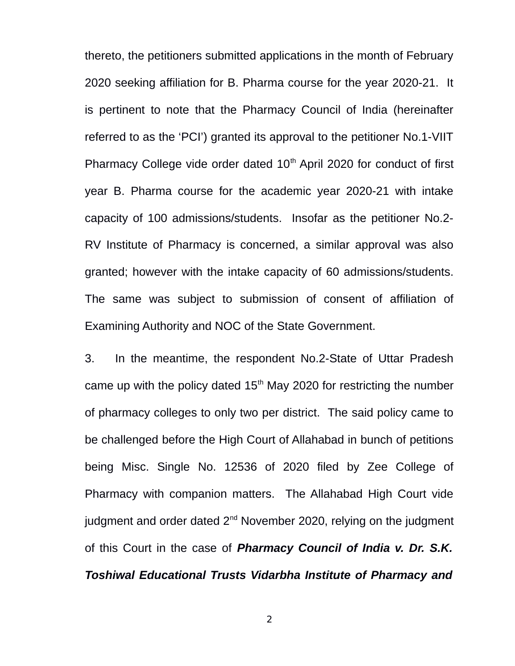thereto, the petitioners submitted applications in the month of February 2020 seeking affiliation for B. Pharma course for the year 2020-21. It is pertinent to note that the Pharmacy Council of India (hereinafter referred to as the 'PCI') granted its approval to the petitioner No.1-VIIT Pharmacy College vide order dated  $10<sup>th</sup>$  April 2020 for conduct of first year B. Pharma course for the academic year 2020-21 with intake capacity of 100 admissions/students. Insofar as the petitioner No.2- RV Institute of Pharmacy is concerned, a similar approval was also granted; however with the intake capacity of 60 admissions/students. The same was subject to submission of consent of affiliation of Examining Authority and NOC of the State Government.

3. In the meantime, the respondent No.2-State of Uttar Pradesh came up with the policy dated  $15<sup>th</sup>$  May 2020 for restricting the number of pharmacy colleges to only two per district. The said policy came to be challenged before the High Court of Allahabad in bunch of petitions being Misc. Single No. 12536 of 2020 filed by Zee College of Pharmacy with companion matters. The Allahabad High Court vide judgment and order dated 2<sup>nd</sup> November 2020, relying on the judgment of this Court in the case of *Pharmacy Council of India v. Dr. S.K. Toshiwal Educational Trusts Vidarbha Institute of Pharmacy and*

2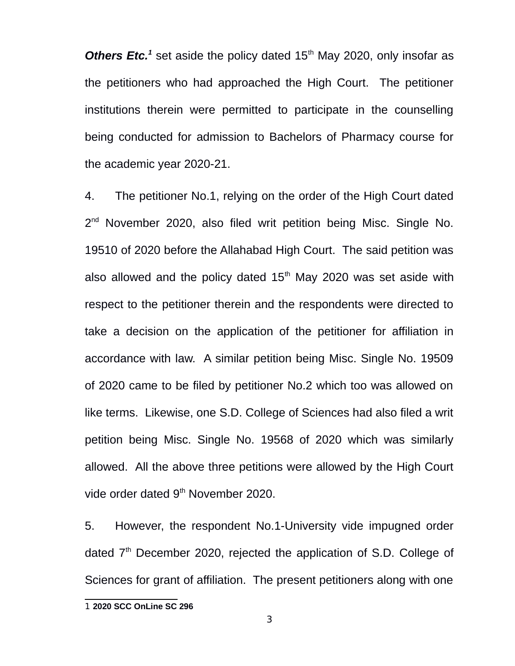Others Etc.<sup>[1](#page-2-0)</sup> set aside the policy dated 15<sup>th</sup> May 2020, only insofar as the petitioners who had approached the High Court. The petitioner institutions therein were permitted to participate in the counselling being conducted for admission to Bachelors of Pharmacy course for the academic year 2020-21.

4. The petitioner No.1, relying on the order of the High Court dated 2<sup>nd</sup> November 2020, also filed writ petition being Misc. Single No. 19510 of 2020 before the Allahabad High Court. The said petition was also allowed and the policy dated  $15<sup>th</sup>$  May 2020 was set aside with respect to the petitioner therein and the respondents were directed to take a decision on the application of the petitioner for affiliation in accordance with law. A similar petition being Misc. Single No. 19509 of 2020 came to be filed by petitioner No.2 which too was allowed on like terms. Likewise, one S.D. College of Sciences had also filed a writ petition being Misc. Single No. 19568 of 2020 which was similarly allowed. All the above three petitions were allowed by the High Court vide order dated 9<sup>th</sup> November 2020.

5. However, the respondent No.1-University vide impugned order dated 7<sup>th</sup> December 2020, rejected the application of S.D. College of Sciences for grant of affiliation. The present petitioners along with one

<span id="page-2-0"></span><sup>1</sup> **2020 SCC OnLine SC 296**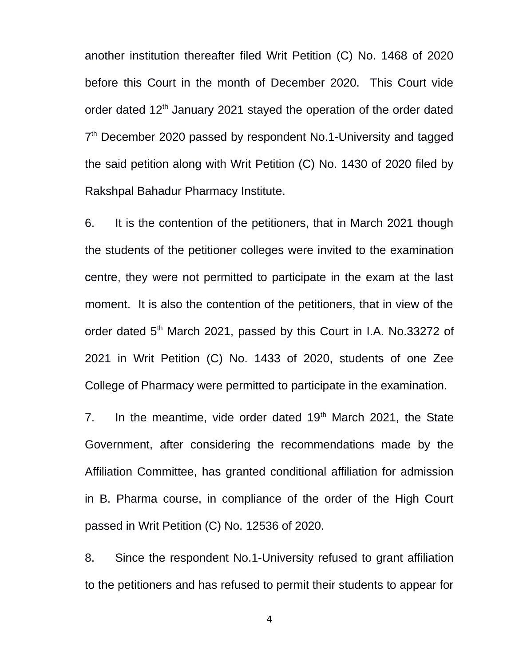another institution thereafter filed Writ Petition (C) No. 1468 of 2020 before this Court in the month of December 2020. This Court vide order dated 12<sup>th</sup> January 2021 stayed the operation of the order dated 7<sup>th</sup> December 2020 passed by respondent No.1-University and tagged the said petition along with Writ Petition (C) No. 1430 of 2020 filed by Rakshpal Bahadur Pharmacy Institute.

6. It is the contention of the petitioners, that in March 2021 though the students of the petitioner colleges were invited to the examination centre, they were not permitted to participate in the exam at the last moment. It is also the contention of the petitioners, that in view of the order dated 5<sup>th</sup> March 2021, passed by this Court in I.A. No.33272 of 2021 in Writ Petition (C) No. 1433 of 2020, students of one Zee College of Pharmacy were permitted to participate in the examination.

7. In the meantime, vide order dated  $19<sup>th</sup>$  March 2021, the State Government, after considering the recommendations made by the Affiliation Committee, has granted conditional affiliation for admission in B. Pharma course, in compliance of the order of the High Court passed in Writ Petition (C) No. 12536 of 2020.

8. Since the respondent No.1-University refused to grant affiliation to the petitioners and has refused to permit their students to appear for

4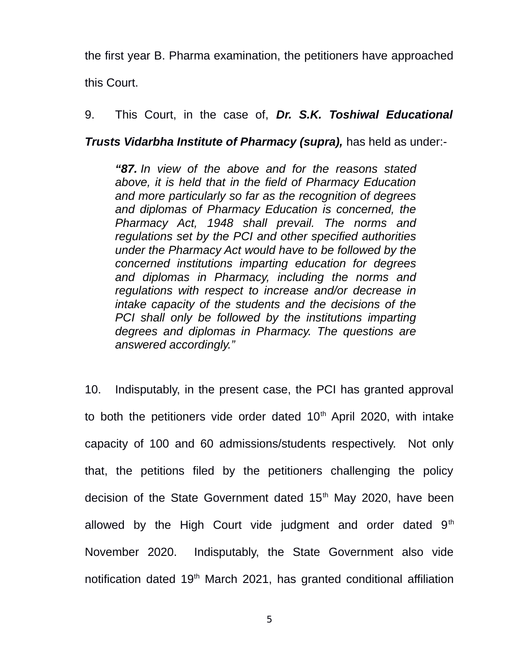the first year B. Pharma examination, the petitioners have approached this Court.

9. This Court, in the case of, *Dr. S.K. Toshiwal Educational*

*Trusts Vidarbha Institute of Pharmacy (supra),* has held as under:-

*"87. In view of the above and for the reasons stated above, it is held that in the field of Pharmacy Education and more particularly so far as the recognition of degrees and diplomas of Pharmacy Education is concerned, the Pharmacy Act, 1948 shall prevail. The norms and regulations set by the PCI and other specified authorities under the Pharmacy Act would have to be followed by the concerned institutions imparting education for degrees and diplomas in Pharmacy, including the norms and regulations with respect to increase and/or decrease in intake capacity of the students and the decisions of the PCI shall only be followed by the institutions imparting degrees and diplomas in Pharmacy. The questions are answered accordingly."* 

10. Indisputably, in the present case, the PCI has granted approval to both the petitioners vide order dated  $10<sup>th</sup>$  April 2020, with intake capacity of 100 and 60 admissions/students respectively. Not only that, the petitions filed by the petitioners challenging the policy decision of the State Government dated  $15<sup>th</sup>$  May 2020, have been allowed by the High Court vide judgment and order dated  $9<sup>th</sup>$ November 2020. Indisputably, the State Government also vide notification dated 19<sup>th</sup> March 2021, has granted conditional affiliation